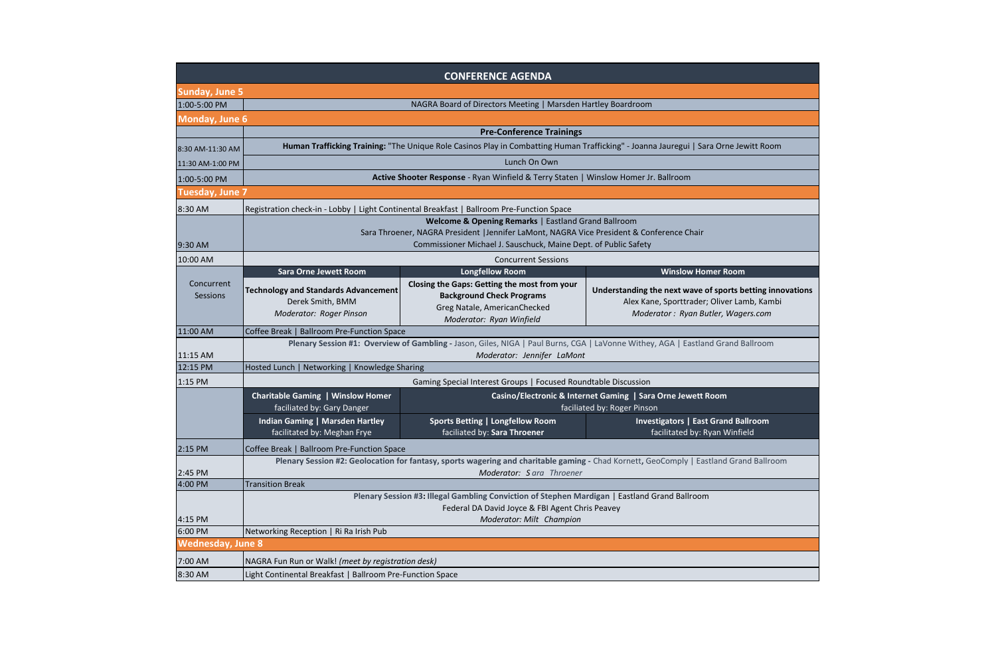|                          |                                                                                                                                                                                                                     | <b>CONFERENCE AGENDA</b>                                                                                                                     |                                                                                                                                       |  |  |
|--------------------------|---------------------------------------------------------------------------------------------------------------------------------------------------------------------------------------------------------------------|----------------------------------------------------------------------------------------------------------------------------------------------|---------------------------------------------------------------------------------------------------------------------------------------|--|--|
| <b>Sunday, June 5</b>    |                                                                                                                                                                                                                     |                                                                                                                                              |                                                                                                                                       |  |  |
| 1:00-5:00 PM             | NAGRA Board of Directors Meeting   Marsden Hartley Boardroom                                                                                                                                                        |                                                                                                                                              |                                                                                                                                       |  |  |
| <b>Monday, June 6</b>    |                                                                                                                                                                                                                     |                                                                                                                                              |                                                                                                                                       |  |  |
|                          | <b>Pre-Conference Trainings</b>                                                                                                                                                                                     |                                                                                                                                              |                                                                                                                                       |  |  |
| 8:30 AM-11:30 AM         | Human Trafficking Training: "The Unique Role Casinos Play in Combatting Human Trafficking" - Joanna Jauregui   Sara Orne Jewitt Room                                                                                |                                                                                                                                              |                                                                                                                                       |  |  |
| 11:30 AM-1:00 PM         | Lunch On Own                                                                                                                                                                                                        |                                                                                                                                              |                                                                                                                                       |  |  |
| 1:00-5:00 PM             | Active Shooter Response - Ryan Winfield & Terry Staten   Winslow Homer Jr. Ballroom                                                                                                                                 |                                                                                                                                              |                                                                                                                                       |  |  |
| <b>Tuesday, June 7</b>   |                                                                                                                                                                                                                     |                                                                                                                                              |                                                                                                                                       |  |  |
| 8:30 AM                  | Registration check-in - Lobby   Light Continental Breakfast   Ballroom Pre-Function Space                                                                                                                           |                                                                                                                                              |                                                                                                                                       |  |  |
| 9:30 AM                  | Welcome & Opening Remarks   Eastland Grand Ballroom<br>Sara Throener, NAGRA President   Jennifer LaMont, NAGRA Vice President & Conference Chair<br>Commissioner Michael J. Sauschuck, Maine Dept. of Public Safety |                                                                                                                                              |                                                                                                                                       |  |  |
| 10:00 AM                 | <b>Concurrent Sessions</b>                                                                                                                                                                                          |                                                                                                                                              |                                                                                                                                       |  |  |
|                          | <b>Sara Orne Jewett Room</b>                                                                                                                                                                                        | <b>Longfellow Room</b>                                                                                                                       | <b>Winslow Homer Room</b>                                                                                                             |  |  |
| Concurrent<br>Sessions   | <b>Technology and Standards Advancement</b><br>Derek Smith, BMM<br>Moderator: Roger Pinson                                                                                                                          | Closing the Gaps: Getting the most from your<br><b>Background Check Programs</b><br>Greg Natale, AmericanChecked<br>Moderator: Ryan Winfield | Understanding the next wave of sports betting inn<br>Alex Kane, Sporttrader; Oliver Lamb, Kambi<br>Moderator: Ryan Butler, Wagers.com |  |  |
| 11:00 AM                 | Coffee Break   Ballroom Pre-Function Space                                                                                                                                                                          |                                                                                                                                              |                                                                                                                                       |  |  |
| 11:15 AM                 | Plenary Session #1: Overview of Gambling - Jason, Giles, NIGA   Paul Burns, CGA   LaVonne Withey, AGA   Eastland Grand Ballroom<br>Moderator: Jennifer LaMont                                                       |                                                                                                                                              |                                                                                                                                       |  |  |
| 12:15 PM                 | Hosted Lunch   Networking   Knowledge Sharing                                                                                                                                                                       |                                                                                                                                              |                                                                                                                                       |  |  |
| 1:15 PM                  |                                                                                                                                                                                                                     | Gaming Special Interest Groups   Focused Roundtable Discussion                                                                               |                                                                                                                                       |  |  |
|                          | <b>Charitable Gaming   Winslow Homer</b><br>faciliated by: Gary Danger                                                                                                                                              | Casino/Electronic & Internet Gaming   Sara Orne Jewett Room<br>faciliated by: Roger Pinson                                                   |                                                                                                                                       |  |  |
|                          | <b>Indian Gaming   Marsden Hartley</b><br>facilitated by: Meghan Frye                                                                                                                                               | <b>Sports Betting   Longfellow Room</b><br>faciliated by: Sara Throener                                                                      | <b>Investigators   East Grand Ballroom</b><br>facilitated by: Ryan Winfield                                                           |  |  |
| 2:15 PM                  | Coffee Break   Ballroom Pre-Function Space                                                                                                                                                                          |                                                                                                                                              |                                                                                                                                       |  |  |
| 2:45 PM                  | Plenary Session #2: Geolocation for fantasy, sports wagering and charitable gaming - Chad Kornett, GeoComply   Eastland Grand Ballroor<br>Moderator: Sara Throener                                                  |                                                                                                                                              |                                                                                                                                       |  |  |
| 4:00 PM                  | <b>Transition Break</b>                                                                                                                                                                                             |                                                                                                                                              |                                                                                                                                       |  |  |
| 4:15 PM                  | Plenary Session #3: Illegal Gambling Conviction of Stephen Mardigan   Eastland Grand Ballroom<br>Federal DA David Joyce & FBI Agent Chris Peavey<br>Moderator: Milt Champion                                        |                                                                                                                                              |                                                                                                                                       |  |  |
| 6:00 PM                  | Networking Reception   Ri Ra Irish Pub                                                                                                                                                                              |                                                                                                                                              |                                                                                                                                       |  |  |
| <b>Wednesday, June 8</b> |                                                                                                                                                                                                                     |                                                                                                                                              |                                                                                                                                       |  |  |
| 7:00 AM                  | NAGRA Fun Run or Walk! (meet by registration desk)                                                                                                                                                                  |                                                                                                                                              |                                                                                                                                       |  |  |
| 8:30 AM                  | Light Continental Breakfast   Ballroom Pre-Function Space                                                                                                                                                           |                                                                                                                                              |                                                                                                                                       |  |  |